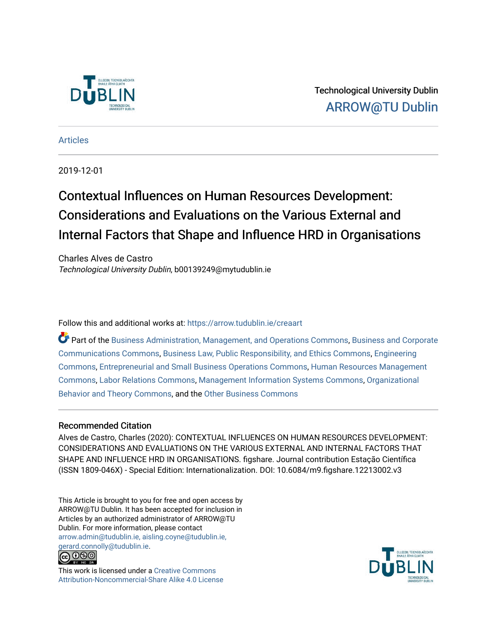

Technological University Dublin [ARROW@TU Dublin](https://arrow.tudublin.ie/) 

[Articles](https://arrow.tudublin.ie/creaart)

2019-12-01

# Contextual Influences on Human Resources Development: Considerations and Evaluations on the Various External and Internal Factors that Shape and Influence HRD in Organisations

Charles Alves de Castro Technological University Dublin, b00139249@mytudublin.ie

Follow this and additional works at: [https://arrow.tudublin.ie/creaart](https://arrow.tudublin.ie/creaart?utm_source=arrow.tudublin.ie%2Fcreaart%2F56&utm_medium=PDF&utm_campaign=PDFCoverPages) 

Part of the [Business Administration, Management, and Operations Commons](http://network.bepress.com/hgg/discipline/623?utm_source=arrow.tudublin.ie%2Fcreaart%2F56&utm_medium=PDF&utm_campaign=PDFCoverPages), [Business and Corporate](http://network.bepress.com/hgg/discipline/627?utm_source=arrow.tudublin.ie%2Fcreaart%2F56&utm_medium=PDF&utm_campaign=PDFCoverPages)  [Communications Commons,](http://network.bepress.com/hgg/discipline/627?utm_source=arrow.tudublin.ie%2Fcreaart%2F56&utm_medium=PDF&utm_campaign=PDFCoverPages) [Business Law, Public Responsibility, and Ethics Commons,](http://network.bepress.com/hgg/discipline/628?utm_source=arrow.tudublin.ie%2Fcreaart%2F56&utm_medium=PDF&utm_campaign=PDFCoverPages) [Engineering](http://network.bepress.com/hgg/discipline/217?utm_source=arrow.tudublin.ie%2Fcreaart%2F56&utm_medium=PDF&utm_campaign=PDFCoverPages)  [Commons](http://network.bepress.com/hgg/discipline/217?utm_source=arrow.tudublin.ie%2Fcreaart%2F56&utm_medium=PDF&utm_campaign=PDFCoverPages), [Entrepreneurial and Small Business Operations Commons,](http://network.bepress.com/hgg/discipline/630?utm_source=arrow.tudublin.ie%2Fcreaart%2F56&utm_medium=PDF&utm_campaign=PDFCoverPages) [Human Resources Management](http://network.bepress.com/hgg/discipline/633?utm_source=arrow.tudublin.ie%2Fcreaart%2F56&utm_medium=PDF&utm_campaign=PDFCoverPages) [Commons](http://network.bepress.com/hgg/discipline/633?utm_source=arrow.tudublin.ie%2Fcreaart%2F56&utm_medium=PDF&utm_campaign=PDFCoverPages), [Labor Relations Commons,](http://network.bepress.com/hgg/discipline/635?utm_source=arrow.tudublin.ie%2Fcreaart%2F56&utm_medium=PDF&utm_campaign=PDFCoverPages) [Management Information Systems Commons,](http://network.bepress.com/hgg/discipline/636?utm_source=arrow.tudublin.ie%2Fcreaart%2F56&utm_medium=PDF&utm_campaign=PDFCoverPages) [Organizational](http://network.bepress.com/hgg/discipline/639?utm_source=arrow.tudublin.ie%2Fcreaart%2F56&utm_medium=PDF&utm_campaign=PDFCoverPages) [Behavior and Theory Commons,](http://network.bepress.com/hgg/discipline/639?utm_source=arrow.tudublin.ie%2Fcreaart%2F56&utm_medium=PDF&utm_campaign=PDFCoverPages) and the [Other Business Commons](http://network.bepress.com/hgg/discipline/647?utm_source=arrow.tudublin.ie%2Fcreaart%2F56&utm_medium=PDF&utm_campaign=PDFCoverPages)

#### Recommended Citation

Alves de Castro, Charles (2020): CONTEXTUAL INFLUENCES ON HUMAN RESOURCES DEVELOPMENT: CONSIDERATIONS AND EVALUATIONS ON THE VARIOUS EXTERNAL AND INTERNAL FACTORS THAT SHAPE AND INFLUENCE HRD IN ORGANISATIONS. figshare. Journal contribution Estação Científica (ISSN 1809-046X) - Special Edition: Internationalization. DOI: 10.6084/m9.figshare.12213002.v3

This Article is brought to you for free and open access by ARROW@TU Dublin. It has been accepted for inclusion in Articles by an authorized administrator of ARROW@TU Dublin. For more information, please contact [arrow.admin@tudublin.ie, aisling.coyne@tudublin.ie,](mailto:arrow.admin@tudublin.ie,%20aisling.coyne@tudublin.ie,%20gerard.connolly@tudublin.ie)  [gerard.connolly@tudublin.ie](mailto:arrow.admin@tudublin.ie,%20aisling.coyne@tudublin.ie,%20gerard.connolly@tudublin.ie).



This work is licensed under a [Creative Commons](http://creativecommons.org/licenses/by-nc-sa/4.0/) [Attribution-Noncommercial-Share Alike 4.0 License](http://creativecommons.org/licenses/by-nc-sa/4.0/)

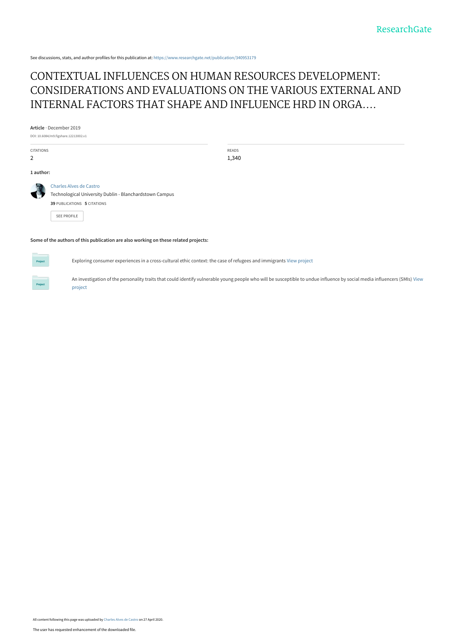See discussions, stats, and author profiles for this publication at: [https://www.researchgate.net/publication/340953179](https://www.researchgate.net/publication/340953179_CONTEXTUAL_INFLUENCES_ON_HUMAN_RESOURCES_DEVELOPMENT_CONSIDERATIONS_AND_EVALUATIONS_ON_THE_VARIOUS_EXTERNAL_AND_INTERNAL_FACTORS_THAT_SHAPE_AND_INFLUENCE_HRD_IN_ORGANISATIONS?enrichId=rgreq-32f1415e62c9824216d54617f4837915-XXX&enrichSource=Y292ZXJQYWdlOzM0MDk1MzE3OTtBUzo4ODUwMzg0NTk2NTAwNDhAMTU4ODAyMTAyMDIzNA%3D%3D&el=1_x_2&_esc=publicationCoverPdf)

## CONTEXTUAL INFLUENCES ON HUMAN RESOURCES DEVELOPMENT: CONSIDERATIONS AND EVALUATIONS ON THE VARIOUS EXTERNAL AND INTERNAL FACTORS THAT SHAPE AND INFLUENCE HRD IN ORGA....

**Article** · December 2019

DOI: 10.6084/m9.figshare.12213002.v1

CITATIONS 2

READS 1,340

**1 author:**

[Charles Alves de Castro](https://www.researchgate.net/profile/Charles-Alves-De-Castro?enrichId=rgreq-32f1415e62c9824216d54617f4837915-XXX&enrichSource=Y292ZXJQYWdlOzM0MDk1MzE3OTtBUzo4ODUwMzg0NTk2NTAwNDhAMTU4ODAyMTAyMDIzNA%3D%3D&el=1_x_5&_esc=publicationCoverPdf)

[Technological University Dublin - Blanchardstown Campus](https://www.researchgate.net/institution/Technological-University-Dublin-Blanchardstown-Campus?enrichId=rgreq-32f1415e62c9824216d54617f4837915-XXX&enrichSource=Y292ZXJQYWdlOzM0MDk1MzE3OTtBUzo4ODUwMzg0NTk2NTAwNDhAMTU4ODAyMTAyMDIzNA%3D%3D&el=1_x_6&_esc=publicationCoverPdf) **39** PUBLICATIONS **5** CITATIONS

[SEE PROFILE](https://www.researchgate.net/profile/Charles-Alves-De-Castro?enrichId=rgreq-32f1415e62c9824216d54617f4837915-XXX&enrichSource=Y292ZXJQYWdlOzM0MDk1MzE3OTtBUzo4ODUwMzg0NTk2NTAwNDhAMTU4ODAyMTAyMDIzNA%3D%3D&el=1_x_7&_esc=publicationCoverPdf)

**Some of the authors of this publication are also working on these related projects:**

Exploring consumer experiences in a cross-cultural ethic context: the case of refugees and immigrants [View project](https://www.researchgate.net/project/Exploring-consumer-experiences-in-a-cross-cultural-ethic-context-the-case-of-refugees-and-immigrants?enrichId=rgreq-32f1415e62c9824216d54617f4837915-XXX&enrichSource=Y292ZXJQYWdlOzM0MDk1MzE3OTtBUzo4ODUwMzg0NTk2NTAwNDhAMTU4ODAyMTAyMDIzNA%3D%3D&el=1_x_9&_esc=publicationCoverPdf)

[An investigation of the personality traits that could identify vulnerable young people who will be susceptible to undue influence by social media influencers \(SMIs\)](https://www.researchgate.net/project/An-investigation-of-the-personality-traits-that-could-identify-vulnerable-young-people-who-will-be-susceptible-to-undue-influence-by-social-media-influencers-SMIs?enrichId=rgreq-32f1415e62c9824216d54617f4837915-XXX&enrichSource=Y292ZXJQYWdlOzM0MDk1MzE3OTtBUzo4ODUwMzg0NTk2NTAwNDhAMTU4ODAyMTAyMDIzNA%3D%3D&el=1_x_9&_esc=publicationCoverPdf) View project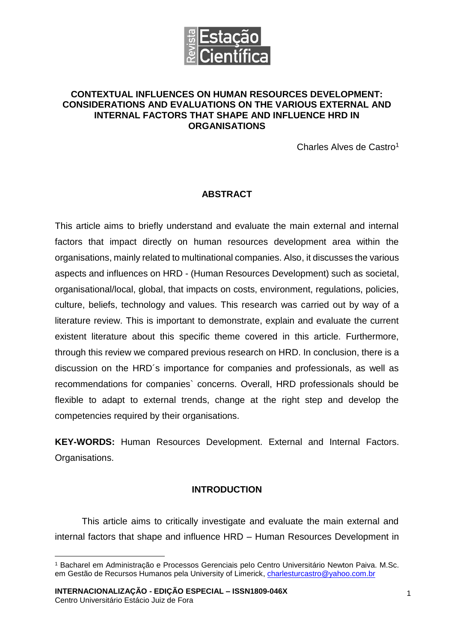

#### **CONTEXTUAL INFLUENCES ON HUMAN RESOURCES DEVELOPMENT: CONSIDERATIONS AND EVALUATIONS ON THE VARIOUS EXTERNAL AND INTERNAL FACTORS THAT SHAPE AND INFLUENCE HRD IN ORGANISATIONS**

Charles Alves de Castro<sup>1</sup>

## **ABSTRACT**

This article aims to briefly understand and evaluate the main external and internal factors that impact directly on human resources development area within the organisations, mainly related to multinational companies. Also, it discusses the various aspects and influences on HRD - (Human Resources Development) such as societal, organisational/local, global, that impacts on costs, environment, regulations, policies, culture, beliefs, technology and values. This research was carried out by way of a literature review. This is important to demonstrate, explain and evaluate the current existent literature about this specific theme covered in this article. Furthermore, through this review we compared previous research on HRD. In conclusion, there is a discussion on the HRD´s importance for companies and professionals, as well as recommendations for companies` concerns. Overall, HRD professionals should be flexible to adapt to external trends, change at the right step and develop the competencies required by their organisations.

**KEY-WORDS:** Human Resources Development. External and Internal Factors. Organisations.

## **INTRODUCTION**

This article aims to critically investigate and evaluate the main external and internal factors that shape and influence HRD – Human Resources Development in

**INTERNACIONALIZAÇÃO - EDIÇÃO ESPECIAL – ISSN1809-046X** Centro Universitário Estácio Juiz de Fora

<u>.</u>

<sup>1</sup> Bacharel em Administração e Processos Gerenciais pelo Centro Universitário Newton Paiva. M.Sc. em Gestão de Recursos Humanos pela University of Limerick, [charlesturcastro@yahoo.com.br](mailto:charlesturcastro@yahoo.com.br)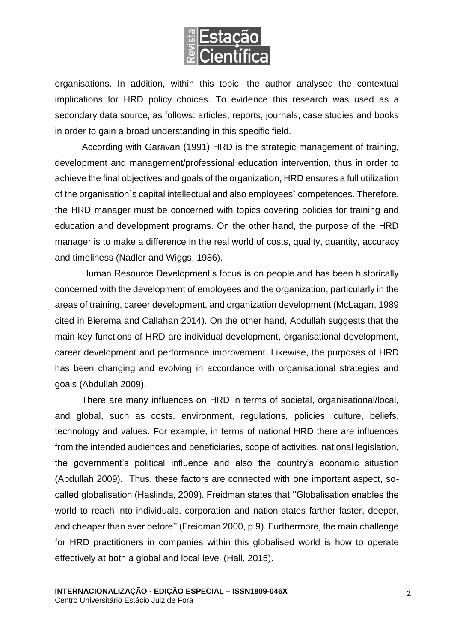

organisations. In addition, within this topic, the author analysed the contextual implications for HRD policy choices. To evidence this research was used as a secondary data source, as follows: articles, reports, journals, case studies and books in order to gain a broad understanding in this specific field.

According with Garavan (1991) HRD is the strategic management of training, development and management/professional education intervention, thus in order to achieve the final objectives and goals of the organization, HRD ensures a full utilization of the organisation`s capital intellectual and also employees` competences. Therefore, the HRD manager must be concerned with topics covering policies for training and education and development programs. On the other hand, the purpose of the HRD manager is to make a difference in the real world of costs, quality, quantity, accuracy and timeliness (Nadler and Wiggs, 1986).

Human Resource Development's focus is on people and has been historically concerned with the development of employees and the organization, particularly in the areas of training, career development, and organization development (McLagan, 1989 cited in Bierema and Callahan 2014). On the other hand, Abdullah suggests that the main key functions of HRD are individual development, organisational development, career development and performance improvement. Likewise, the purposes of HRD has been changing and evolving in accordance with organisational strategies and goals (Abdullah 2009).

There are many influences on HRD in terms of societal, organisational/local, and global, such as costs, environment, regulations, policies, culture, beliefs, technology and values. For example, in terms of national HRD there are influences from the intended audiences and beneficiaries, scope of activities, national legislation, the government's political influence and also the country's economic situation (Abdullah 2009). Thus, these factors are connected with one important aspect, socalled globalisation (Haslinda, 2009). Freidman states that ''Globalisation enables the world to reach into individuals, corporation and nation-states farther faster, deeper, and cheaper than ever before'' (Freidman 2000, p.9). Furthermore, the main challenge for HRD practitioners in companies within this globalised world is how to operate effectively at both a global and local level (Hall, 2015).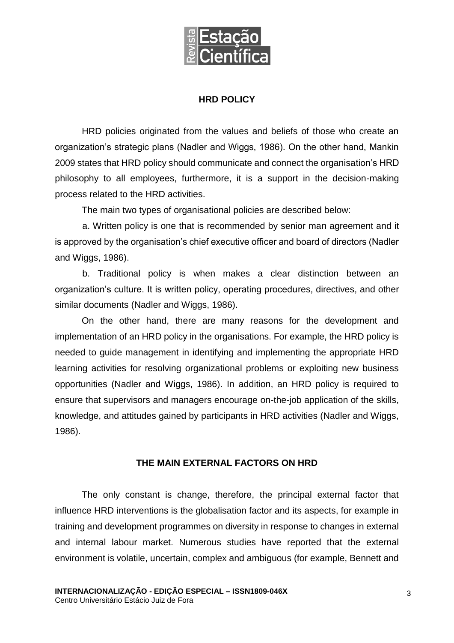

## **HRD POLICY**

HRD policies originated from the values and beliefs of those who create an organization's strategic plans (Nadler and Wiggs, 1986). On the other hand, Mankin 2009 states that HRD policy should communicate and connect the organisation's HRD philosophy to all employees, furthermore, it is a support in the decision-making process related to the HRD activities.

The main two types of organisational policies are described below:

a. Written policy is one that is recommended by senior man agreement and it is approved by the organisation's chief executive officer and board of directors (Nadler and Wiggs, 1986).

b. Traditional policy is when makes a clear distinction between an organization's culture. It is written policy, operating procedures, directives, and other similar documents (Nadler and Wiggs, 1986).

On the other hand, there are many reasons for the development and implementation of an HRD policy in the organisations. For example, the HRD policy is needed to guide management in identifying and implementing the appropriate HRD learning activities for resolving organizational problems or exploiting new business opportunities (Nadler and Wiggs, 1986). In addition, an HRD policy is required to ensure that supervisors and managers encourage on-the-job application of the skills, knowledge, and attitudes gained by participants in HRD activities (Nadler and Wiggs, 1986).

## **THE MAIN EXTERNAL FACTORS ON HRD**

The only constant is change, therefore, the principal external factor that influence HRD interventions is the globalisation factor and its aspects, for example in training and development programmes on diversity in response to changes in external and internal labour market. Numerous studies have reported that the external environment is volatile, uncertain, complex and ambiguous (for example, Bennett and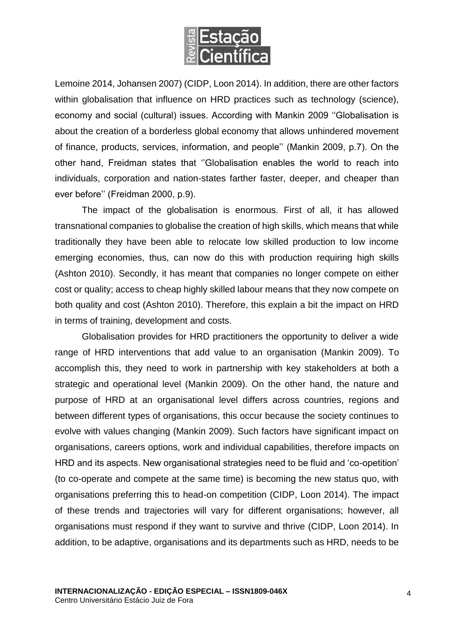

Lemoine 2014, Johansen 2007) (CIDP, Loon 2014). In addition, there are other factors within globalisation that influence on HRD practices such as technology (science), economy and social (cultural) issues. According with Mankin 2009 ''Globalisation is about the creation of a borderless global economy that allows unhindered movement of finance, products, services, information, and people'' (Mankin 2009, p.7). On the other hand, Freidman states that ''Globalisation enables the world to reach into individuals, corporation and nation-states farther faster, deeper, and cheaper than ever before'' (Freidman 2000, p.9).

The impact of the globalisation is enormous. First of all, it has allowed transnational companies to globalise the creation of high skills, which means that while traditionally they have been able to relocate low skilled production to low income emerging economies, thus, can now do this with production requiring high skills (Ashton 2010). Secondly, it has meant that companies no longer compete on either cost or quality; access to cheap highly skilled labour means that they now compete on both quality and cost (Ashton 2010). Therefore, this explain a bit the impact on HRD in terms of training, development and costs.

Globalisation provides for HRD practitioners the opportunity to deliver a wide range of HRD interventions that add value to an organisation (Mankin 2009). To accomplish this, they need to work in partnership with key stakeholders at both a strategic and operational level (Mankin 2009). On the other hand, the nature and purpose of HRD at an organisational level differs across countries, regions and between different types of organisations, this occur because the society continues to evolve with values changing (Mankin 2009). Such factors have significant impact on organisations, careers options, work and individual capabilities, therefore impacts on HRD and its aspects. New organisational strategies need to be fluid and 'co-opetition' (to co-operate and compete at the same time) is becoming the new status quo, with organisations preferring this to head-on competition (CIDP, Loon 2014). The impact of these trends and trajectories will vary for different organisations; however, all organisations must respond if they want to survive and thrive (CIDP, Loon 2014). In addition, to be adaptive, organisations and its departments such as HRD, needs to be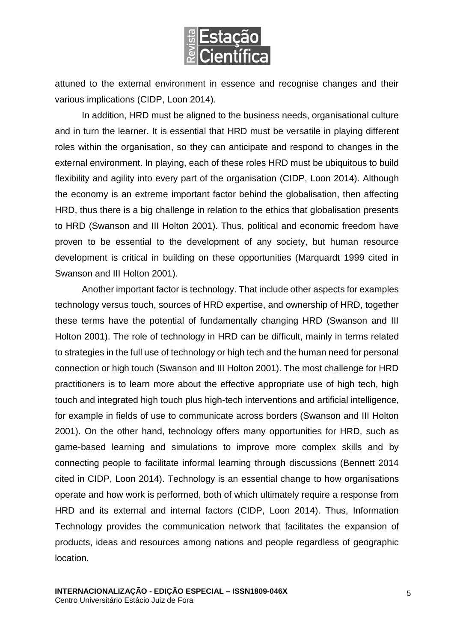

attuned to the external environment in essence and recognise changes and their various implications (CIDP, Loon 2014).

In addition, HRD must be aligned to the business needs, organisational culture and in turn the learner. It is essential that HRD must be versatile in playing different roles within the organisation, so they can anticipate and respond to changes in the external environment. In playing, each of these roles HRD must be ubiquitous to build flexibility and agility into every part of the organisation (CIDP, Loon 2014). Although the economy is an extreme important factor behind the globalisation, then affecting HRD, thus there is a big challenge in relation to the ethics that globalisation presents to HRD (Swanson and III Holton 2001). Thus, political and economic freedom have proven to be essential to the development of any society, but human resource development is critical in building on these opportunities (Marquardt 1999 cited in Swanson and III Holton 2001).

Another important factor is technology. That include other aspects for examples technology versus touch, sources of HRD expertise, and ownership of HRD, together these terms have the potential of fundamentally changing HRD (Swanson and III Holton 2001). The role of technology in HRD can be difficult, mainly in terms related to strategies in the full use of technology or high tech and the human need for personal connection or high touch (Swanson and III Holton 2001). The most challenge for HRD practitioners is to learn more about the effective appropriate use of high tech, high touch and integrated high touch plus high-tech interventions and artificial intelligence, for example in fields of use to communicate across borders (Swanson and III Holton 2001). On the other hand, technology offers many opportunities for HRD, such as game-based learning and simulations to improve more complex skills and by connecting people to facilitate informal learning through discussions (Bennett 2014 cited in CIDP, Loon 2014). Technology is an essential change to how organisations operate and how work is performed, both of which ultimately require a response from HRD and its external and internal factors (CIDP, Loon 2014). Thus, Information Technology provides the communication network that facilitates the expansion of products, ideas and resources among nations and people regardless of geographic location.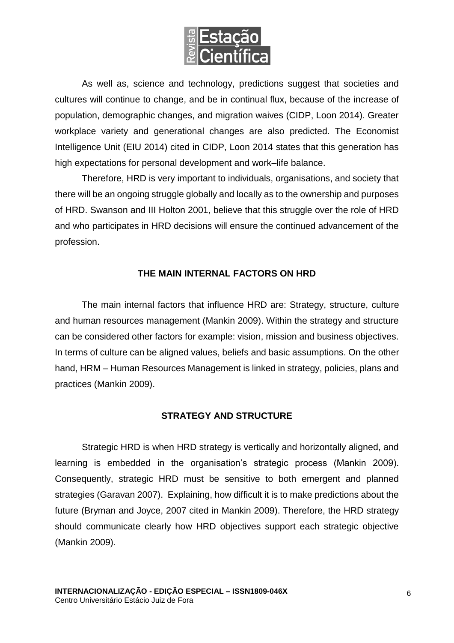

As well as, science and technology, predictions suggest that societies and cultures will continue to change, and be in continual flux, because of the increase of population, demographic changes, and migration waives (CIDP, Loon 2014). Greater workplace variety and generational changes are also predicted. The Economist Intelligence Unit (EIU 2014) cited in CIDP, Loon 2014 states that this generation has high expectations for personal development and work–life balance.

Therefore, HRD is very important to individuals, organisations, and society that there will be an ongoing struggle globally and locally as to the ownership and purposes of HRD. Swanson and III Holton 2001, believe that this struggle over the role of HRD and who participates in HRD decisions will ensure the continued advancement of the profession.

## **THE MAIN INTERNAL FACTORS ON HRD**

The main internal factors that influence HRD are: Strategy, structure, culture and human resources management (Mankin 2009). Within the strategy and structure can be considered other factors for example: vision, mission and business objectives. In terms of culture can be aligned values, beliefs and basic assumptions. On the other hand, HRM – Human Resources Management is linked in strategy, policies, plans and practices (Mankin 2009).

## **STRATEGY AND STRUCTURE**

Strategic HRD is when HRD strategy is vertically and horizontally aligned, and learning is embedded in the organisation's strategic process (Mankin 2009). Consequently, strategic HRD must be sensitive to both emergent and planned strategies (Garavan 2007). Explaining, how difficult it is to make predictions about the future (Bryman and Joyce, 2007 cited in Mankin 2009). Therefore, the HRD strategy should communicate clearly how HRD objectives support each strategic objective (Mankin 2009).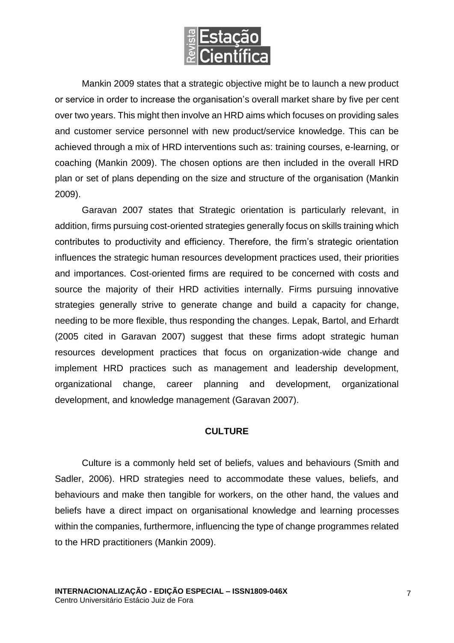

Mankin 2009 states that a strategic objective might be to launch a new product or service in order to increase the organisation's overall market share by five per cent over two years. This might then involve an HRD aims which focuses on providing sales and customer service personnel with new product/service knowledge. This can be achieved through a mix of HRD interventions such as: training courses, e-learning, or coaching (Mankin 2009). The chosen options are then included in the overall HRD plan or set of plans depending on the size and structure of the organisation (Mankin 2009).

Garavan 2007 states that Strategic orientation is particularly relevant, in addition, firms pursuing cost-oriented strategies generally focus on skills training which contributes to productivity and efficiency. Therefore, the firm's strategic orientation influences the strategic human resources development practices used, their priorities and importances. Cost-oriented firms are required to be concerned with costs and source the majority of their HRD activities internally. Firms pursuing innovative strategies generally strive to generate change and build a capacity for change, needing to be more flexible, thus responding the changes. Lepak, Bartol, and Erhardt (2005 cited in Garavan 2007) suggest that these firms adopt strategic human resources development practices that focus on organization-wide change and implement HRD practices such as management and leadership development, organizational change, career planning and development, organizational development, and knowledge management (Garavan 2007).

## **CULTURE**

Culture is a commonly held set of beliefs, values and behaviours (Smith and Sadler, 2006). HRD strategies need to accommodate these values, beliefs, and behaviours and make then tangible for workers, on the other hand, the values and beliefs have a direct impact on organisational knowledge and learning processes within the companies, furthermore, influencing the type of change programmes related to the HRD practitioners (Mankin 2009).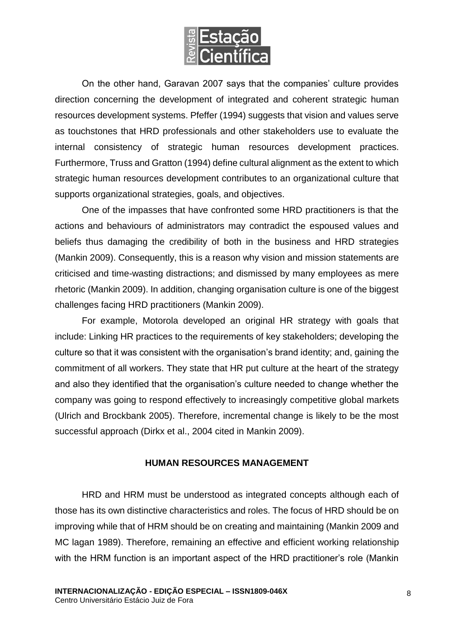

On the other hand, Garavan 2007 says that the companies' culture provides direction concerning the development of integrated and coherent strategic human resources development systems. Pfeffer (1994) suggests that vision and values serve as touchstones that HRD professionals and other stakeholders use to evaluate the internal consistency of strategic human resources development practices. Furthermore, Truss and Gratton (1994) define cultural alignment as the extent to which strategic human resources development contributes to an organizational culture that supports organizational strategies, goals, and objectives.

One of the impasses that have confronted some HRD practitioners is that the actions and behaviours of administrators may contradict the espoused values and beliefs thus damaging the credibility of both in the business and HRD strategies (Mankin 2009). Consequently, this is a reason why vision and mission statements are criticised and time-wasting distractions; and dismissed by many employees as mere rhetoric (Mankin 2009). In addition, changing organisation culture is one of the biggest challenges facing HRD practitioners (Mankin 2009).

For example, Motorola developed an original HR strategy with goals that include: Linking HR practices to the requirements of key stakeholders; developing the culture so that it was consistent with the organisation's brand identity; and, gaining the commitment of all workers. They state that HR put culture at the heart of the strategy and also they identified that the organisation's culture needed to change whether the company was going to respond effectively to increasingly competitive global markets (Ulrich and Brockbank 2005). Therefore, incremental change is likely to be the most successful approach (Dirkx et al., 2004 cited in Mankin 2009).

## **HUMAN RESOURCES MANAGEMENT**

HRD and HRM must be understood as integrated concepts although each of those has its own distinctive characteristics and roles. The focus of HRD should be on improving while that of HRM should be on creating and maintaining (Mankin 2009 and MC lagan 1989). Therefore, remaining an effective and efficient working relationship with the HRM function is an important aspect of the HRD practitioner's role (Mankin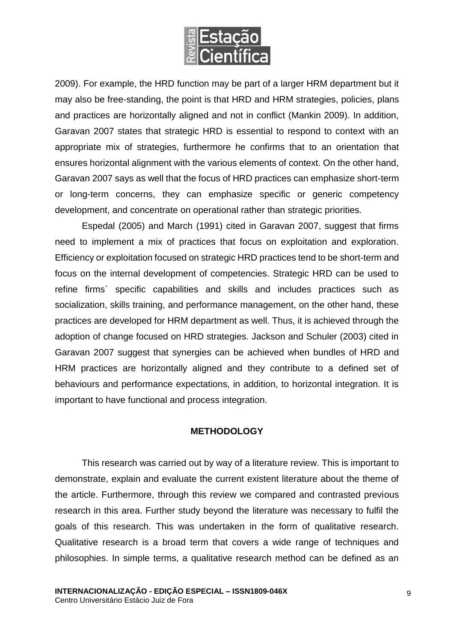

2009). For example, the HRD function may be part of a larger HRM department but it may also be free-standing, the point is that HRD and HRM strategies, policies, plans and practices are horizontally aligned and not in conflict (Mankin 2009). In addition, Garavan 2007 states that strategic HRD is essential to respond to context with an appropriate mix of strategies, furthermore he confirms that to an orientation that ensures horizontal alignment with the various elements of context. On the other hand, Garavan 2007 says as well that the focus of HRD practices can emphasize short-term or long-term concerns, they can emphasize specific or generic competency development, and concentrate on operational rather than strategic priorities.

Espedal (2005) and March (1991) cited in Garavan 2007, suggest that firms need to implement a mix of practices that focus on exploitation and exploration. Efficiency or exploitation focused on strategic HRD practices tend to be short-term and focus on the internal development of competencies. Strategic HRD can be used to refine firms` specific capabilities and skills and includes practices such as socialization, skills training, and performance management, on the other hand, these practices are developed for HRM department as well. Thus, it is achieved through the adoption of change focused on HRD strategies. Jackson and Schuler (2003) cited in Garavan 2007 suggest that synergies can be achieved when bundles of HRD and HRM practices are horizontally aligned and they contribute to a defined set of behaviours and performance expectations, in addition, to horizontal integration. It is important to have functional and process integration.

## **METHODOLOGY**

This research was carried out by way of a literature review. This is important to demonstrate, explain and evaluate the current existent literature about the theme of the article. Furthermore, through this review we compared and contrasted previous research in this area. Further study beyond the literature was necessary to fulfil the goals of this research. This was undertaken in the form of qualitative research. Qualitative research is a broad term that covers a wide range of techniques and philosophies. In simple terms, a qualitative research method can be defined as an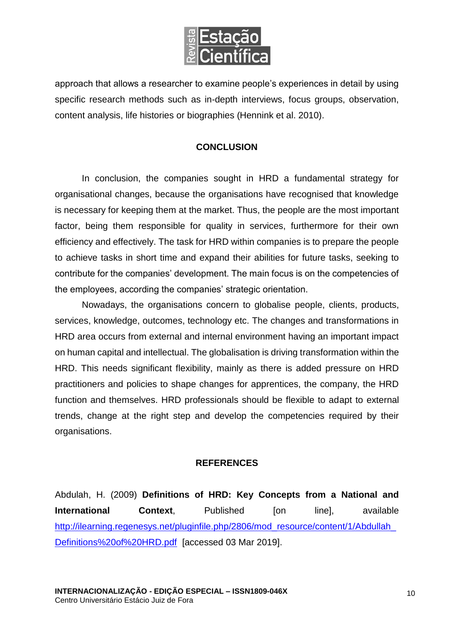

approach that allows a researcher to examine people's experiences in detail by using specific research methods such as in-depth interviews, focus groups, observation, content analysis, life histories or biographies (Hennink et al. 2010).

## **CONCLUSION**

In conclusion, the companies sought in HRD a fundamental strategy for organisational changes, because the organisations have recognised that knowledge is necessary for keeping them at the market. Thus, the people are the most important factor, being them responsible for quality in services, furthermore for their own efficiency and effectively. The task for HRD within companies is to prepare the people to achieve tasks in short time and expand their abilities for future tasks, seeking to contribute for the companies' development. The main focus is on the competencies of the employees, according the companies' strategic orientation.

Nowadays, the organisations concern to globalise people, clients, products, services, knowledge, outcomes, technology etc. The changes and transformations in HRD area occurs from external and internal environment having an important impact on human capital and intellectual. The globalisation is driving transformation within the HRD. This needs significant flexibility, mainly as there is added pressure on HRD practitioners and policies to shape changes for apprentices, the company, the HRD function and themselves. HRD professionals should be flexible to adapt to external trends, change at the right step and develop the competencies required by their organisations.

## **REFERENCES**

Abdulah, H. (2009) **Definitions of HRD: Key Concepts from a National and International Context.** Published [on line], available [http://ilearning.regenesys.net/pluginfile.php/2806/mod\\_resource/content/1/Abdullah\\_](http://ilearning.regenesys.net/pluginfile.php/2806/mod_resource/content/1/Abdullah_Definitions%20of%20HRD.pdf) [Definitions%20of%20HRD.pdf](http://ilearning.regenesys.net/pluginfile.php/2806/mod_resource/content/1/Abdullah_Definitions%20of%20HRD.pdf) [accessed 03 Mar 2019].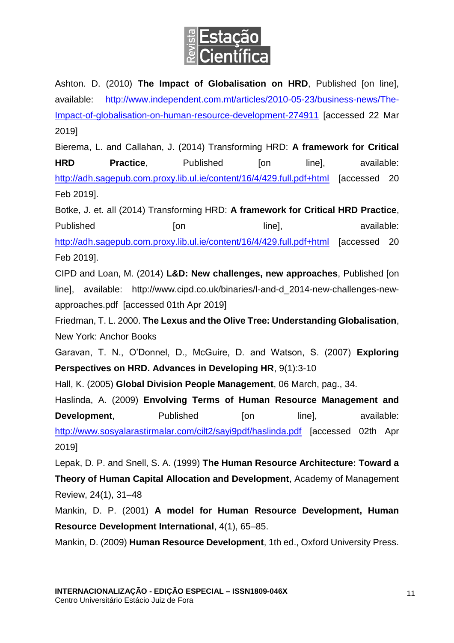

Ashton. D. (2010) **The Impact of Globalisation on HRD**, Published [on line], available: [http://www.independent.com.mt/articles/2010-05-23/business-news/The-](http://www.independent.com.mt/articles/2010-05-23/business-news/The-Impact-of-globalisation-on-human-resource-development-274911)[Impact-of-globalisation-on-human-resource-development-274911](http://www.independent.com.mt/articles/2010-05-23/business-news/The-Impact-of-globalisation-on-human-resource-development-274911) [accessed 22 Mar 2019]

Bierema, L. and Callahan, J. (2014) Transforming HRD: **A framework for Critical HRD Practice,** Published [on line], available: <http://adh.sagepub.com.proxy.lib.ul.ie/content/16/4/429.full.pdf+html> [accessed 20 Feb 2019].

Botke, J. et. all (2014) Transforming HRD: **A framework for Critical HRD Practice**, Published [on line], available: <http://adh.sagepub.com.proxy.lib.ul.ie/content/16/4/429.full.pdf+html> [accessed 20 Feb 2019].

CIPD and Loan, M. (2014) **L&D: New challenges, new approaches**, Published [on line], available: http://www.cipd.co.uk/binaries/l-and-d\_2014-new-challenges-newapproaches.pdf [accessed 01th Apr 2019]

Friedman, T. L. 2000. **The Lexus and the Olive Tree: Understanding Globalisation**, New York: Anchor Books

Garavan, T. N., O'Donnel, D., McGuire, D. and Watson, S. (2007) **Exploring Perspectives on HRD. Advances in Developing HR**, 9(1):3-10

Hall, K. (2005) **Global Division People Management**, 06 March, pag., 34.

Haslinda, A. (2009) **Envolving Terms of Human Resource Management and Development,** Published [on line], available: <http://www.sosyalarastirmalar.com/cilt2/sayi9pdf/haslinda.pdf> [accessed 02th Apr 2019]

Lepak, D. P. and Snell, S. A. (1999) **The Human Resource Architecture: Toward a Theory of Human Capital Allocation and Development**, Academy of Management Review, 24(1), 31–48

Mankin, D. P. (2001) **A model for Human Resource Development, Human Resource Development International**, 4(1), 65–85.

Mankin, D. (2009) **Human Resource Development**, 1th ed., Oxford University Press.